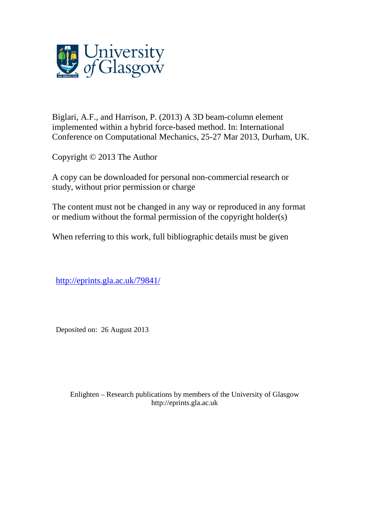

Biglari, A.F., and Harrison, P. (2013) A 3D beam-column element implemented within a hybrid force-based method. In: International Conference on Computational Mechanics, 25-27 Mar 2013, Durham, UK.

Copyright © 2013 The Author

A copy can be downloaded for personal non-commercial research or study, without prior permission or charge

The content must not be changed in any way or reproduced in any format or medium without the formal permission of the copyright holder(s)

When referring to this work, full bibliographic details must be given

[http://eprints.gla.ac.uk/79841/](http://eprints.gla.ac.uk/84546/)

Deposited on: 26 August 2013

Enlighten – Research publications by members of the University of Glasgo[w](http://eprints.gla.ac.uk/) [http://eprints.gla.ac.uk](http://eprints.gla.ac.uk/)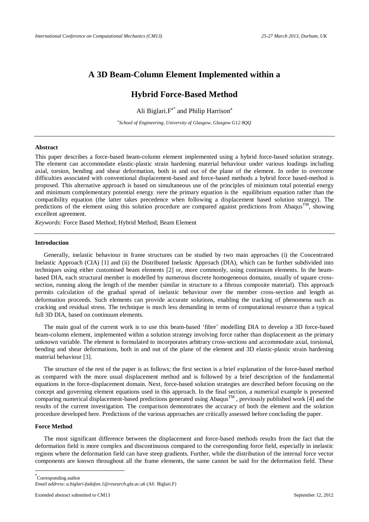## **A 3D Beam-Column Element Implemented within a**

# **Hybrid Force-Based Method**

Ali Biglari. F<sup>a\*</sup> and Philip Harrison<sup>a</sup>

*a School of Engineering, University of Glasgow, Glasgow G12 8QQ*

### **Abstract**

This paper describes a force-based beam-column element implemented using a hybrid force-based solution strategy. The element can accommodate elastic-plastic strain hardening material behaviour under various loadings including axial, torsion, bending and shear deformation, both in and out of the plane of the element. In order to overcome difficulties associated with conventional displacement-based and force-based methods a hybrid force based-method is proposed. This alternative approach is based on simultaneous use of the principles of minimum total potential energy and minimum complementary potential energy. Here the primary equation is the equilibrium equation rather than the compatibility equation (the latter takes precedence when following a displacement based solution strategy). The predictions of the element using this solution procedure are compared against predictions from Abaqus<sup>TM</sup>, showing excellent agreement.

*Keywords:* Force Based Method; Hybrid Method; Beam Element

### **Introduction**

Generally, inelastic behaviour in frame structures can be studied by two main approaches (i) the Concentrated Inelastic Approach (CIA) [1] and (ii) the Distributed Inelastic Approach (DIA), which can be further subdivided into techniques using either customised beam elements [2] or, more commonly, using continuum elements. In the beambased DIA, each structural member is modelled by numerous discrete homogeneous domains, usually of square crosssection, running along the length of the member (similar in structure to a fibrous composite material). This approach permits calculation of the gradual spread of inelastic behaviour over the member cross-section and length as deformation proceeds. Such elements can provide accurate solutions, enabling the tracking of phenomena such as cracking and residual stress. The technique is much less demanding in terms of computational resource than a typical full 3D DIA, based on continuum elements.

The main goal of the current work is to use this beam-based 'fibre' modelling DIA to develop a 3D force-based beam-column element, implemented within a solution strategy involving force rather than displacement as the primary unknown variable. The element is formulated to incorporates arbitrary cross-sections and accommodate axial, torsional, bending and shear deformations, both in and out of the plane of the element and 3D elastic-plastic strain hardening material behaviour [3].

The structure of the rest of the paper is as follows; the first section is a brief explanation of the force-based method as compared with the more usual displacement method and is followed by a brief description of the fundamental equations in the force-displacement domain. Next, force-based solution strategies are described before focusing on the concept and governing element equations used in this approach. In the final section, a numerical example is presented comparing numerical displacement-based predictions generated using Abaqus<sup>TM</sup>, previously published work [4] and the results of the current investigation. The comparison demonstrates the accuracy of both the element and the solution procedure developed here. Predictions of the various approaches are critically assessed before concluding the paper.

## **Force Method**

1

The most significant difference between the displacement and force-based methods results from the fact that the deformation field is more complex and discontinuous compared to the corresponding force field, especially in inelastic regions where the deformation field can have steep gradients. Further, while the distribution of the internal force vector components are known throughout all the frame elements, the same cannot be said for the deformation field. These

\* Corresponding author *Email address*: *[a.biglari-fadafan.1@research.gla.ac.uk](mailto:a.biglari-fadafan.1@research.gla.ac.uk)* (Ali Biglari.F)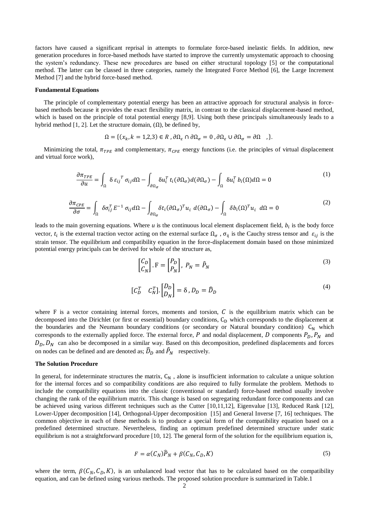factors have caused a significant reprisal in attempts to formulate force-based inelastic fields. In addition, new generation procedures in force-based methods have started to improve the currently unsystematic approach to choosing the system's redundancy. These new procedures are based on either structural topology [5] or the computational method. The latter can be classed in three categories, namely the Integrated Force Method [6], the Large Increment Method [7] and the hybrid force-based method.

#### **Fundamental Equations**

The principle of complementary potential energy has been an attractive approach for structural analysis in forcebased methods because it provides the exact flexibility matrix, in contrast to the classical displacement-based method, which is based on the principle of total potential energy [8,9]. Using both these principals simultaneously leads to a hybrid method [1, 2]. Let the structure domain,  $(\Omega)$ , be defined by,

$$
\Omega = \{ (x_k, k = 1, 2, 3) \in R, \partial \Omega_{\varepsilon} \cap \partial \Omega_{\sigma} = 0, \partial \Omega_{\varepsilon} \cup \partial \Omega_{\sigma} = \partial \Omega \},
$$

Minimizing the total,  $\pi_{TPE}$  and complementary,  $\pi_{CPE}$  energy functions (i.e. the principles of virtual displacement and virtual force work),

$$
\frac{\partial \pi_{TPE}}{\partial u} = \int_{\Omega} \delta \, \varepsilon_{ij}{}^{T} \, \sigma_{ij} d\Omega - \int_{\partial \Omega_{\sigma}} \delta u_{i}^{T} \, t_{i} (\partial \Omega_{\sigma}) d(\partial \Omega_{\sigma}) - \int_{\Omega} \delta u_{i}^{T} \, b_{i}(\Omega) d\Omega = 0 \tag{1}
$$

$$
\frac{\partial \pi_{CPE}}{\partial \sigma} = \int_{\Omega} \delta \sigma_{ij}^{T} E^{-1} \sigma_{ij} d\Omega - \int_{\partial \Omega_{\sigma}} \delta t_{i} (\partial \Omega_{\sigma})^{T} u_{i} d(\partial \Omega_{\sigma}) - \int_{\Omega} \delta b_{i} (\Omega)^{T} u_{i} d\Omega = 0
$$
\n(2)

leads to the main governing equations. Where  $u$  is the continuous local element displacement field,  $b_i$  is the body force vector,  $t_i$  is the external traction vector acting on the external surface  $\Omega_{\sigma}$ ,  $\sigma_{ii}$  is the Cauchy stress tensor and  $\varepsilon_{ii}$  is the strain tensor. The equilibrium and compatibility equation in the force-displacement domain based on those minimized potential energy principals can be derived for whole of the structure as,

$$
\begin{bmatrix} C_D \\ C_N \end{bmatrix} . \mathbf{F} = \begin{bmatrix} P_D \\ P_N \end{bmatrix}, \ P_N = \hat{P}_N \tag{3}
$$

$$
\begin{bmatrix} C_D^T & C_N^T \end{bmatrix} \cdot \begin{bmatrix} D_D \\ D_N \end{bmatrix} = \delta \,, D_D = \widehat{D}_D \tag{4}
$$

where F is a vector containing internal forces, moments and torsion,  $C$  is the equilibrium matrix which can be decomposed into the Dirichlet (or first or essential) boundary conditions,  $C<sub>D</sub>$  which corresponds to the displacement at the boundaries and the Neumann boundary conditions (or secondary or Natural boundary condition)  $C_N$  which corresponds to the externally applied force. The external force, P and nodal displacement, D components  $P_D, P_N$  and  $D_D$ ,  $D_N$  can also be decomposed in a similar way. Based on this decomposition, predefined displacements and forces on nodes can be defined and are denoted as;  $\widehat{D}_D$  and  $\widehat{P}_N$  respectively.

#### **The Solution Procedure**

In general, for indeterminate structures the matrix,  $C_N$ , alone is insufficient information to calculate a unique solution for the internal forces and so compatibility conditions are also required to fully formulate the problem. Methods to include the compatibility equations into the classic (conventional or standard) force-based method usually involve changing the rank of the equilibrium matrix. This change is based on segregating redundant force components and can be achieved using various different techniques such as the Cutter [10,11,12], Eigenvalue [13], Reduced Rank [12], Lower-Upper decomposition [14], Orthogonal-Upper decomposition [15] and General Inverse [7, 16] techniques. The common objective in each of these methods is to produce a special form of the compatibility equation based on a predefined determined structure. Nevertheless, finding an optimum predefined determined structure under static equilibrium is not a straightforward procedure [10, 12]. The general form of the solution for the equilibrium equation is,

$$
F = \alpha(C_N)\widehat{P}_N + \beta(C_N, C_D, K) \tag{5}
$$

where the term,  $\beta(C_N, C_D, K)$ , is an unbalanced load vector that has to be calculated based on the compatibility equation, and can be defined using various methods. The proposed solution procedure is summarized in Table.1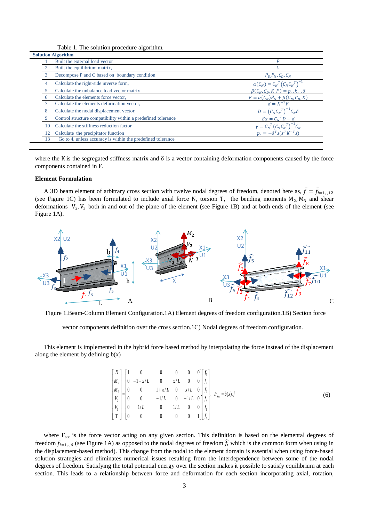Table 1. The solution procedure algorithm.

| <b>Solution Algorithm</b> |                                                               |                                                 |
|---------------------------|---------------------------------------------------------------|-------------------------------------------------|
|                           | Built the external load vector                                | P                                               |
|                           | Built the equilibrium matrix,                                 |                                                 |
| 3                         | Decompose P and C based on boundary condition                 | $P_D, P_N, C_D, C_N$                            |
| 4                         | Calculate the right-side inverse form,                        | $\alpha(C_N) = C_N^T (C_N C_N^T)^{-1}$          |
|                           | Calculate the unbalance load vector matrix                    | $\beta(C_N, C_D, K, F) = p_r, k_r \cdot \delta$ |
|                           | Calculate the elements force vector,                          | $F = \alpha(C_N)\hat{P}_N + \beta(C_N, C_D, K)$ |
|                           | Calculate the elements deformation vector,                    | $\delta = K^{-1}F$                              |
| 8                         | Calculate the nodal displacement vector,                      | $D = (C_N C_N^T)^{-1} C_N \delta$               |
|                           | Control structure compatibility within a predefined tolerance | $Ex = C_N^T D - \delta$                         |
|                           | Calculate the stiffness reduction factor                      | $\gamma = C_N^T (C_N C_N^T)$                    |
| 12                        | Calculate the precipitator function                           | $p_r = -\delta^T \overline{s(s^T K^{-T} s)}$    |
| 13                        | Go to 4, unless accuracy is within the predefined tolerance   |                                                 |

where the K is the segregated stiffness matrix and  $\delta$  is a vector containing deformation components caused by the force components contained in F.

### **Element Formulation**

A 3D beam element of arbitrary cross section with twelve nodal degrees of freedom, denoted here as,  $\bar{f} = \bar{f}_i$ . (see Figure 1C) has been formulated to include axial force N, torsion T, the bending moments  $M_2$ ,  $M_3$  and shear deformations  $V_2$ ,  $V_3$  both in and out of the plane of the element (see Figure 1B) and at both ends of the element (see Figure 1A).



Figure 1.Beam-Column Element Configuration.1A) Element degrees of freedom configuration.1B) Section force

vector components definition over the cross section.1C) Nodal degrees of freedom configuration.

This element is implemented in the hybrid force based method by interpolating the force instead of the displacement along the element by defining  $b(x)$ 

$$
\begin{bmatrix} N \\ M_2 \\ M_3 \\ V_4 \\ V_5 \\ V_6 \\ V_7 \\ T \end{bmatrix} = \begin{bmatrix} 1 & 0 & 0 & 0 & 0 & 0 \\ 0 & -1 + x/L & 0 & x/L & 0 & 0 \\ 0 & 0 & -1 + x/L & 0 & x/L & 0 \\ 0 & 0 & -1/L & 0 & -1/L & 0 \\ 0 & 1/L & 0 & 1/L & 0 & 0 \\ 0 & 0 & 0 & 0 & 0 & 1 \end{bmatrix} \begin{bmatrix} f_1 \\ f_2 \\ f_3 \\ f_4 \\ f_5 \\ f_6 \end{bmatrix}, \quad F_{\text{see}} = b(x).f
$$
 (6)

where F<sub>sec</sub> is the force vector acting on any given section. This definition is based on the elemental degrees of freedom  $f_{i=1,...6}$  (see Figure 1A) as opposed to the nodal degrees of freedom  $\hat{f}_i$  which is the common form when using in the displacement-based method). This change from the nodal to the element domain is essential when using force-based solution strategies and eliminates numerical issues resulting from the interdependence between some of the nodal degrees of freedom. Satisfying the total potential energy over the section makes it possible to satisfy equilibrium at each section. This leads to a relationship between force and deformation for each section incorporating axial, rotation,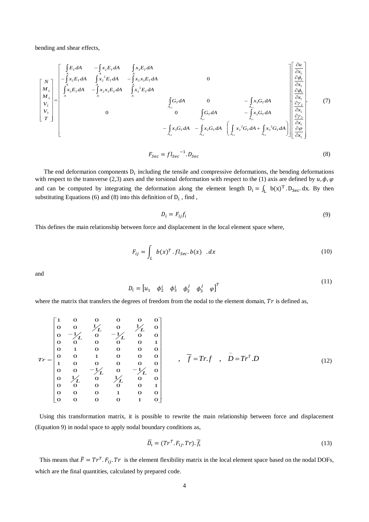bending and shear effects,

$$
\begin{bmatrix}\nN \\
M_{2} \\
M_{3} \\
N_{4} \\
N_{5} \\
T\n\end{bmatrix} = \begin{bmatrix}\n\int_{A}^{R} E_{T} dA & \int_{A}^{R} x_{2} E_{T} dA & \int_{A}^{R} x_{3} E_{T} dA \\
\int_{A}^{R} x_{2} E_{T} dA & -\int_{A}^{A} x_{2} x_{3} E_{T} dA & 0 \\
\int_{A}^{R} x_{3} E_{T} dA & \int_{A}^{R} x_{3}^{2} E_{T} dA & 0 \\
\int_{A_{2}}^{R} G_{T} dA & 0 & -\int_{A_{2}}^{R} x_{3} G_{T} dA \\
V_{2} \\
V_{3} \\
V_{4} \\
V_{5}\n\end{bmatrix} = \begin{bmatrix}\n\int_{A}^{R} E_{T} dA & \int_{A}^{R} x_{2} E_{T} dA & 0 & 0 \\
\int_{A}^{R} G_{T} dA & 0 & -\int_{A_{3}}^{R} x_{3} G_{T} dA \\
\int_{A_{43}}^{R} G_{T} dA & -\int_{A_{43}}^{R} x_{3} G_{T} dA & \int_{A_{43}}^{R} x_{3} G_{T} dA \\
\int_{A_{42}}^{R} G_{T} dA & -\int_{A_{43}}^{R} x_{3} G_{T} dA & \int_{A_{43}}^{R} x_{3} G_{T} dA\n\end{bmatrix} = \begin{bmatrix}\n\int_{A}^{R} E_{T} dA & 0 & 0 \\
\int_{A}^{R} E_{T} dA & 0 & -\int_{A_{43}}^{R} x_{3} G_{T} dA \\
\int_{A_{43}}^{R} x_{3} G_{T} dA & \int_{A_{43}}^{R} x_{3} G_{T} dA\n\end{bmatrix} = \begin{bmatrix}\n\int_{A}^{R} E_{T} dA & 0 & 0 \\
\int_{A}^{R} E_{T} dA & 0 & -\int_{A_{43}}^{R} x_{3} G_{T} dA \\
\int_{A_{43}}^{R} x_{3} G_{T} dA & \int_{A_{43}}^{R} x_{3} G_{T} dA\n\end{bmatrix} = \begin{bmatrix}\n\int_{A}^{R} E_{T} dA & \int_{A}^{R} E_{T} dA & 0 & 0 \\
$$

$$
F_{Sec} = fl_{Sec}^{\quad -1} . D_{Sec} \tag{8}
$$

The end deformation components  $D_i$  including the tensile and compressive deformations, the bending deformations with respect to the transverse (2,3) axes and the torsional deformation with respect to the (1) axis are defined by  $u, \phi, \phi$ and can be computed by integrating the deformation along the element length  $D_i = \int_L b(x)^T \cdot D_{Sec} dx$ . By then substituting Equations (6) and (8) into this definition of  $D_i$ , find,

$$
D_i = F_{ij} f_i \tag{9}
$$

This defines the main relationship between force and displacement in the local element space where,

$$
F_{ij} = \int_{L} b(x)^{T} . fl_{Sec}.b(x) . dx
$$
 (10)

and

$$
D_i = \begin{bmatrix} u_1 & \phi_2^i & \phi_3^i & \phi_2^j & \phi_3^j & \phi \end{bmatrix}^T
$$
 (11)

where the matrix that transfers the degrees of freedom from the nodal to the element domain,  $Tr$  is defined as,

$$
Tr = \begin{bmatrix} 1 & 0 & 0 & 0 & 0 & 0 \\ 0 & 0 & \frac{1}{L} & 0 & \frac{1}{L} & 0 \\ 0 & -\frac{1}{L} & 0 & -\frac{1}{L} & 0 & 0 \\ 0 & 0 & 0 & 0 & 0 & 1 \\ 0 & 0 & 1 & 0 & 0 & 0 \\ 1 & 0 & 0 & 0 & 0 & 0 \\ 0 & 0 & -\frac{1}{L} & 0 & -\frac{1}{L} & 0 \\ 0 & \frac{1}{L} & 0 & \frac{1}{L} & 0 & 0 \\ 0 & 0 & 0 & 0 & 1 & 0 \\ 0 & 0 & 0 & 0 & 1 & 0 \end{bmatrix}, \quad \overline{f} = Tr.f, \quad \overline{D} = Tr^{T}.D
$$
\n(12)

Using this transformation matrix, it is possible to rewrite the main relationship between force and displacement (Equation 9) in nodal space to apply nodal boundary conditions as,

$$
\overline{D}_t = (Tr^T.F_{ij}.Tr).\overline{f}_t \tag{13}
$$

This means that  $\bar{F} = Tr^T \cdot F_{ij} \cdot Tr$  is the element flexibility matrix in the local element space based on the nodal DOFs, which are the final quantities, calculated by prepared code.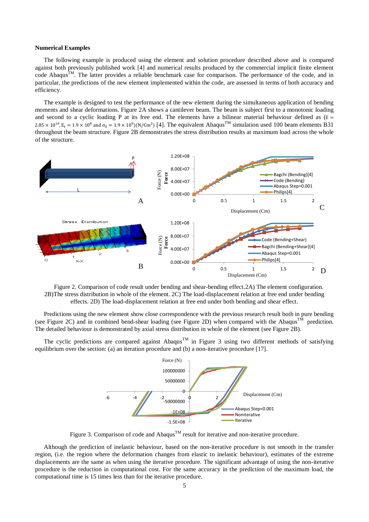### **Numerical Examples**

The following example is produced using the element and solution procedure described above and is compared against both previously published work [4] and numerical results produced by the commercial implicit finite element code Abaqus<sup>TM</sup>. The latter provides a reliable benchmark case for comparison. The performance of the code, and in particular, the predictions of the new element implemented within the code, are assessed in terms of both accuracy and efficiency.

The example is designed to test the performance of the new element during the simultaneous application of bending moments and shear deformations. Figure 2A shows a cantilever beam. The beam is subject first to a monotonic loading and second to a cyclic loading P at its free end. The elements have a bilinear material behaviour defined as  $(E =$  $2.85 \times 10^{10}$ ,  $E_t = 1.9 \times 10^8$  and  $\sigma_0 = 1.9 \times 10^9$ )(N/Cm<sup>2</sup>) [4]. The equivalent Abaqus<sup>TM</sup> simulation used 100 beam elements B31 throughout the beam structure. Figure 2B demonstrates the stress distribution results at maximum load across the whole of the structure.



Figure 2. Comparison of code result under bending and shear-bending effect.2A) The element configuration. 2B)The stress distribution in whole of the element. 2C) The load-displacement relation at free end under bending effects. 2D) The load-displacement relation at free end under both bending and shear effect.

Predictions using the new element show close correspondence with the previous research result both in pure bending (see Figure 2C) and in combined bend-shear loading (see Figure 2D) when compared with the Abaqus<sup>TM</sup> prediction. The detailed behaviour is demonstrated by axial stress distribution in whole of the element (see Figure 2B).

The cyclic predictions are compared against Abaqus<sup>TM</sup> in Figure 3 using two different methods of satisfying equilibrium over the section: (a) an iteration procedure and (b) a non-iterative procedure [17].



Figure 3. Comparison of code and Abaqus<sup>TM</sup> result for iterative and non-iterative procedure.

Although the prediction of inelastic behaviour, based on the non-iterative procedure is not smooth in the transfer region, (i.e. the region where the deformation changes from elastic to inelastic behaviour), estimates of the extreme displacements are the same as when using the iterative procedure. The significant advantage of using the non-iterative procedure is the reduction in computational cost. For the same accuracy in the prediction of the maximum load, the computational time is 15 times less than for the iterative procedure.